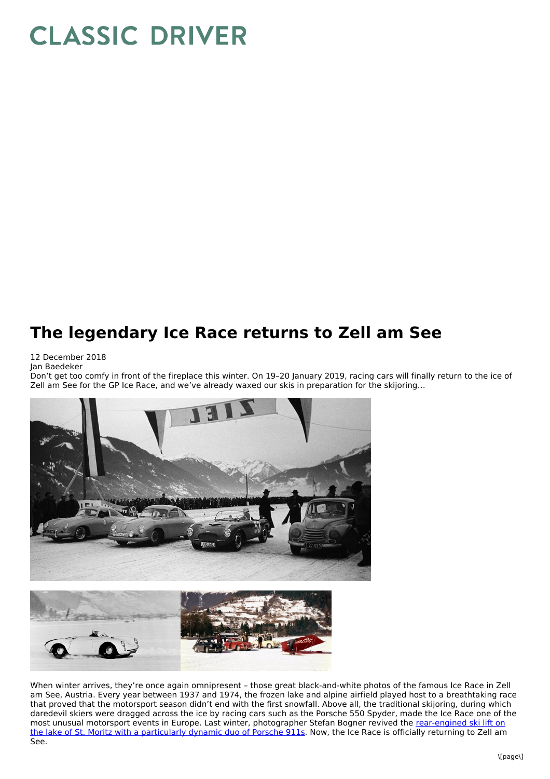## **CLASSIC DRIVER**

## **The legendary Ice Race returns to Zell am See**

## 12 December 2018 Jan Baedeker

Don't get too comfy in front of the fireplace this winter. On 19–20 January 2019, racing cars will finally return to the ice of Zell am See for the GP Ice Race, and we've already waxed our skis in preparation for the skijoring…



When winter arrives, they're once again omnipresent – those great black-and-white photos of the famous Ice Race in Zell am See, Austria. Every year between 1937 and 1974, the frozen lake and alpine airfield played host to a breathtaking race that proved that the motorsport season didn't end with the first snowfall. Above all, the traditional skijoring, during which daredevil skiers were dragged across the ice by racing cars such as the Porsche 550 Spyder, made the Ice Race one of the most unusual motorsport events in Europe. Last winter, [photographer](https://www.classicdriver.com/en/node/514187) Stefan Bogner revived the rear-engined ski lift on the lake of St. Moritz with a particularly dynamic duo of Porsche 911s. Now, the Ice Race is officially returning to Zell am See.